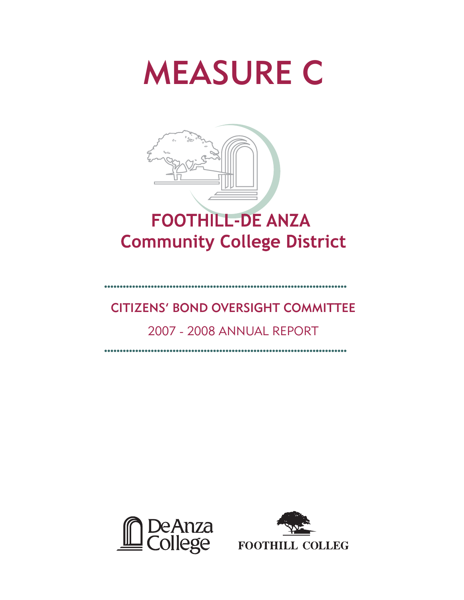# MEASURE C



# CITIZENS' BOND OVERSIGHT COMMITTEE

# 2007 - 2008 ANNUAL REPORT



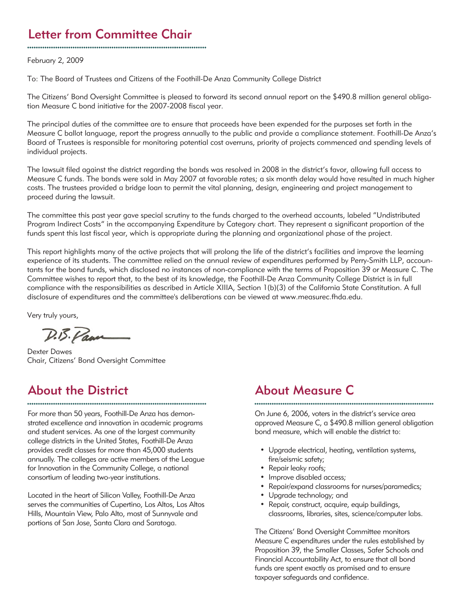# Letter from Committee Chair

February 2, 2009

To: The Board of Trustees and Citizens of the Foothill-De Anza Community College District

The Citizens' Bond Oversight Committee is pleased to forward its second annual report on the \$490.8 million general obligation Measure C bond initiative for the 2007-2008 fiscal year.

The principal duties of the committee are to ensure that proceeds have been expended for the purposes set forth in the Measure C ballot language, report the progress annually to the public and provide a compliance statement. Foothill-De Anza's Board of Trustees is responsible for monitoring potential cost overruns, priority of projects commenced and spending levels of individual projects.

The lawsuit filed against the district regarding the bonds was resolved in 2008 in the district's favor, allowing full access to Measure C funds. The bonds were sold in May 2007 at favorable rates; a six month delay would have resulted in much higher costs. The trustees provided a bridge loan to permit the vital planning, design, engineering and project management to proceed during the lawsuit.

The committee this past year gave special scrutiny to the funds charged to the overhead accounts, labeled "Undistributed Program Indirect Costs" in the accompanying Expenditure by Category chart. They represent a significant proportion of the funds spent this last fiscal year, which is appropriate during the planning and organizational phase of the project.

This report highlights many of the active projects that will prolong the life of the district's facilities and improve the learning experience of its students. The committee relied on the annual review of expenditures performed by Perry-Smith LLP, accountants for the bond funds, which disclosed no instances of non-compliance with the terms of Proposition 39 or Measure C. The Committee wishes to report that, to the best of its knowledge, the Foothill-De Anza Community College District is in full compliance with the responsibilities as described in Article XIIIA, Section 1(b)(3) of the California State Constitution. A full disclosure of expenditures and the committee's deliberations can be viewed at www.measurec.fhda.edu.

Very truly yours,

D.B. Pan

Dexter Dawes Chair, Citizens' Bond Oversight Committee

# About the District

For more than 50 years, Foothill-De Anza has demonstrated excellence and innovation in academic programs and student services. As one of the largest community college districts in the United States, Foothill-De Anza provides credit classes for more than 45,000 students annually. The colleges are active members of the League for Innovation in the Community College, a national consortium of leading two-year institutions.

Located in the heart of Silicon Valley, Foothill-De Anza serves the communities of Cupertino, Los Altos, Los Altos Hills, Mountain View, Palo Alto, most of Sunnyvale and portions of San Jose, Santa Clara and Saratoga.

## About Measure C

On June 6, 2006, voters in the district's service area approved Measure C, a \$490.8 million general obligation bond measure, which will enable the district to:

- Upgrade electrical, heating, ventilation systems, fire/seismic safety;
- Repair leaky roofs;
- Improve disabled access;
- Repair/expand classrooms for nurses/paramedics;
- Upgrade technology; and
- Repair, construct, acquire, equip buildings, classrooms, libraries, sites, science/computer labs.

The Citizens' Bond Oversight Committee monitors Measure C expenditures under the rules established by Proposition 39, the Smaller Classes, Safer Schools and Financial Accountability Act, to ensure that all bond funds are spent exactly as promised and to ensure taxpayer safeguards and confidence.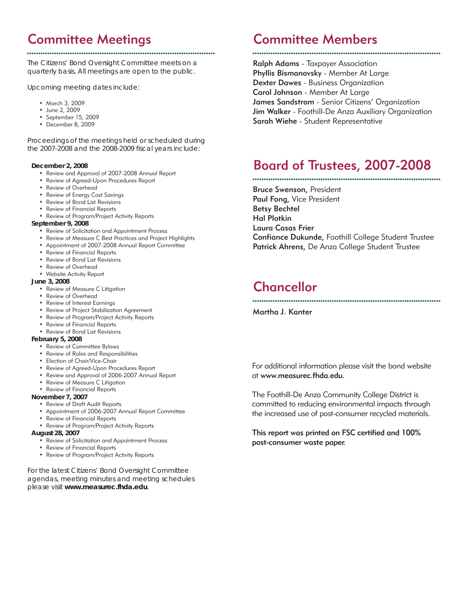# Committee Meetings

The Citizens' Bond Oversight Committee meets on a quarterly basis. All meetings are open to the public.

Upcoming meeting dates include:

- March 3, 2009
- June 2, 2009
- September 15, 2009
- December 8, 2009

Proceedings of the meetings held or scheduled during the 2007-2008 and the 2008-2009 fiscal years include:

#### **December 2, 2008**

- Review and Approval of 2007-2008 Annual Report
- Review of Agreed-Upon Procedures Report
- Review of Overhead
- Review of Energy Cost Savings
- Review of Bond List Revisions
- Review of Financial Reports
- Review of Program/Project Activity Reports

#### **September 9, 2008**

- Review of Solicitation and Appointment Process
- Review of Measure C Best Practices and Project Highlights
- Appointment of 2007-2008 Annual Report Committee
- Review of Financial Reports
- Review of Bond List Revisions
- Review of Overhead
- Website Activity Report

#### **June 3, 2008**

- Review of Measure C Litigation
- Review of Overhead
- Review of Interest Earnings
- Review of Project Stabilization Agreement
- Review of Program/Project Activity Reports
- Review of Financial Reports
- Review of Bond List Revisions

#### **February 5, 2008**

- Review of Committee Bylaws
- Review of Roles and Responsibilities
- Election of Chair/Vice-Chair
- Review of Agreed-Upon Procedures Report
- Review and Approval of 2006-2007 Annual Report
- Review of Measure C Litigation
- Review of Financial Reports

#### **November 7, 2007**

- Review of Draft Audit Reports
- Appointment of 2006-2007 Annual Report Committee
- Review of Financial Reports
- Review of Program/Project Activity Reports

#### **August 28, 2007**

- Review of Solicitation and Appointment Process
- Review of Financial Reports
- Review of Program/Project Activity Reports

For the latest Citizens' Bond Oversight Committee agendas, meeting minutes and meeting schedules please visit **www.measurec.fhda.edu**.

# Committee Members

### 

Ralph Adams - Taxpayer Association Phyllis Bismanovsky - Member At Large Dexter Dawes - Business Organization Carol Johnson - Member At Large James Sandstrom - Senior Citizens' Organization Jim Walker - Foothill-De Anza Auxiliary Organization Sarah Wiehe - Student Representative

# Board of Trustees, 2007-2008

Bruce Swenson, President Paul Fong, Vice President Betsy Bechtel Hal Plotkin Laura Casas Frier Confiance Dukunde, Foothill College Student Trustee Patrick Ahrens, De Anza College Student Trustee

# Chancellor

Martha J. Kanter

For additional information please visit the bond website at www.measurec.fhda.edu.

The Foothill-De Anza Community College District is committed to reducing environmental impacts through the increased use of post-consumer recycled materials.

This report was printed on FSC certified and 100% post-consumer waste paper.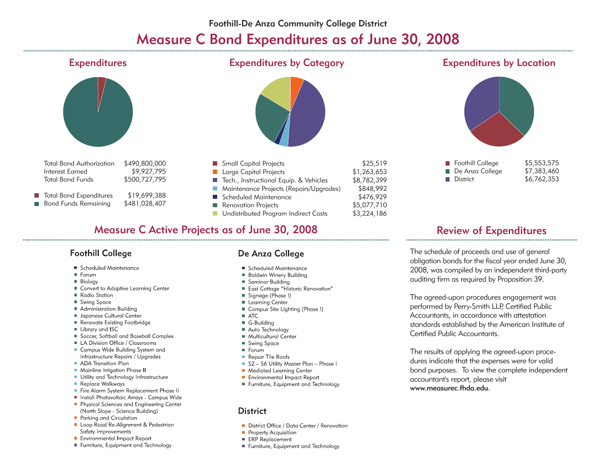# Measure C Bond Expenditures as of June 30, 2008



### **Measure C Active Projects as of June 30, 2008**

### **Foothill College**

- Scheduled Maintenance
- Forum
- **Biology**
- Convert to Adaptive Learning Center
- Radio Station
- Swing Space
- Administration Building
- Japanese Cultural Center
- Renovate Existing Footbridge
- Library and ISC
- Soccer, Softball and Baseball Complex
- LA Division Office / Classrooms
- Campus Wide Building System and Infrastructure Repairs / Upgrades
- ADA Transition Plan
- Mainline Irrigation Phase II
- Utility and Technology Infrastructure
- Replace Walkways
- Fire Alarm System Replacement Phase II
- Install Photovoltaic Arrays Campus Wide
- Physical Sciences and Engineering Center (North Slope - Science Building)
- Parking and Circulation
- Loop Road Re-Alignment & Pedestrian Safety Improvements
- Environmental Impact Report
- Furniture, Equipment and Technology

## De Anza College

- Scheduled Maintenance
- **Baldwin Winery Building**
- Seminar Building
- East Cottage "Historic Renovation"
- Signage (Phase I)
- **Learning Center**
- Campus Site Lighting (Phase I)
- $\blacksquare$  ATC
- G-Building
- Auto Technology
- Multicultural Center
- Swing Space
- Forum
- Repair Tile Roofs
- S2 S6 Utility Master Plan Phase I
- Mediated Learning Center
- Environmental Impact Report
- Furniture, Equipment and Technology

### **District**

- District Office / Data Center / Renovation
- Property Acquisition
- **ERP Replacement**
- Furniture, Equipment and Technology

## **Review of Expenditures**

The schedule of proceeds and use of general obligation bonds for the fiscal year ended June 30, 2008, was compiled by an independent third-party auditing firm as required by Proposition 39.

The agreed-upon procedures engagement was performed by Perry-Smith LLP, Certified Public Accountants, in accordance with attestation standards established by the American Institute of Certified Public Accountants.

The results of applying the agreed-upon procedures indicate that the expenses were for valid bond purposes. To view the complete independent accountant's report, please visit www.measurec.fhda.edu.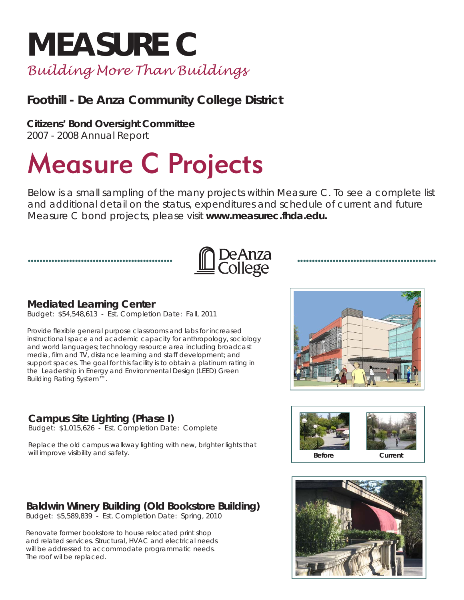# **MEASURE C** *Building More Than Buildings*

# **Foothill - De Anza Community College District**

**Citizens' Bond Oversight Committee**

2007 - 2008 Annual Report

# Measure C Projects

Below is a small sampling of the many projects within Measure C. To see a complete list and additional detail on the status, expenditures and schedule of current and future Measure C bond projects, please visit **www.measurec.fhda.edu.**

# | DeAnza<br>| College

## **Mediated Learning Center**

Budget: \$54,548,613 - Est. Completion Date: Fall, 2011

Provide flexible general purpose classrooms and labs for increased instructional space and academic capacity for anthropology, sociology and world languages; technology resource area including broadcast media, film and TV, distance learning and staff development; and support spaces. The goal for this facility is to obtain a platinum rating in the Leadership in Energy and Environmental Design (LEED) Green Building Rating System™.

## **Campus Site Lighting (Phase I)**

Budget: \$1,015,626 - Est. Completion Date: Complete

Replace the old campus walkway lighting with new, brighter lights that will improve visibility and safety.

## **Baldwin Winery Building (Old Bookstore Building)**

Budget: \$5,589,839 - Est. Completion Date: Spring, 2010

Renovate former bookstore to house relocated print shop and related services. Structural, HVAC and electrical needs will be addressed to accommodate programmatic needs. The roof wil be replaced.





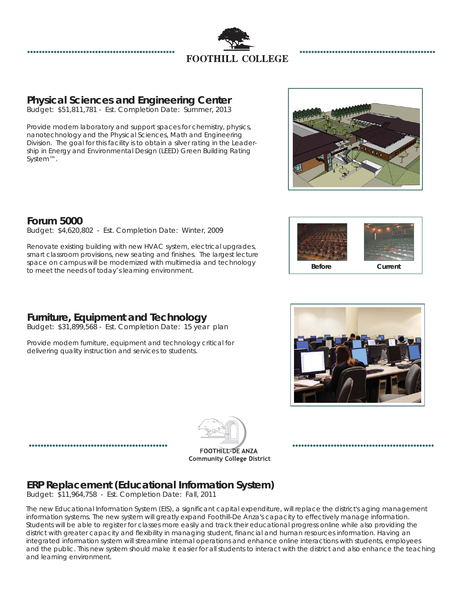

## **Physical Sciences and Engineering Center**

Budget: \$51,811,781 - Est. Completion Date: Summer, 2013

Provide modern laboratory and support spaces for chemistry, physics, nanotechnology and the Physical Sciences, Math and Engineering Division. The goal for this facility is to obtain a silver rating in the Leadership in Energy and Environmental Design (LEED) Green Building Rating System™.



## **Forum 5000**

Budget: \$4,620,802 - Est. Completion Date: Winter, 2009

Renovate existing building with new HVAC system, electrical upgrades, smart classroom provisions, new seating and finishes. The largest lecture space on campus will be modernized with multimedia and technology to meet the needs of today's learning environment.

## **Furniture, Equipment and Technology**

Budget: \$31,899,568 - Est. Completion Date: 15 year plan

Provide modern furniture, equipment and technology critical for delivering quality instruction and services to students.





,,,,,,,,,,,,,,,,,,,,,,,,,,,,,,,,,,



## **ERP Replacement (Educational Information System)**

Budget: \$11,964,758 - Est. Completion Date: Fall, 2011

The new Educational Information System (EIS), a significant capital expenditure, will replace the district's aging management information systems. The new system will greatly expand Foothill-De Anza's capacity to effectively manage information. Students will be able to register for classes more easily and track their educational progress online while also providing the district with greater capacity and flexibility in managing student, financial and human resources information. Having an integrated information system will streamline internal operations and enhance online interactions with students, employees and the public. This new system should make it easier for all students to interact with the district and also enhance the teaching and learning environment.